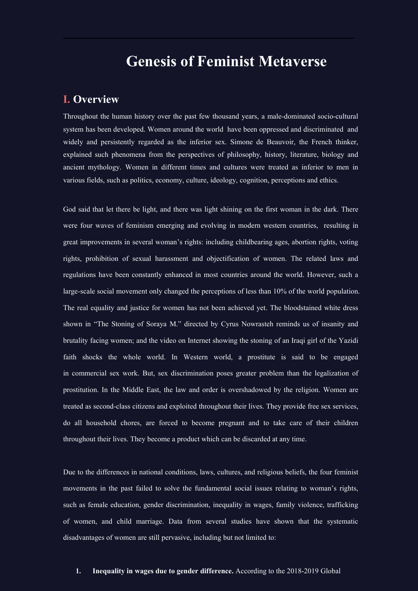# **Genesis of Feminist Metaverse**

## **I. Overview**

Throughout the human history over the past few thousand years, a male-dominated socio-cultural system has been developed. Women around the world have been oppressed and discriminated and widely and persistently regarded as the inferior sex. Simone de Beauvoir, the French thinker, explained such phenomena from the perspectives of philosophy, history, literature, biology and ancient mythology. Women in different times and cultures were treated as inferior to men in various fields, such as politics, economy, culture, ideology, cognition, perceptions and ethics.

God said that let there be light, and there was light shining on the first woman in the dark. There were four waves of feminism emerging and evolving in modern western countries, resulting in great improvements in several woman's rights: including childbearing ages, abortion rights, voting rights, prohibition of sexual harassment and objectification of women. The related laws and regulations have been constantly enhanced in most countries around the world. However, such a large-scale social movement only changed the perceptions of less than 10% of the world population.<br>The real equality and justice for women has not been achieved yet. The bloodstained white dress shown in "The Stoning of Soraya M." directed by Cyrus [Nowrasteh](https://en.wikipedia.org/wiki/Cyrus_Nowrasteh) reminds us of insanity and brutality facing women; and the video on Internet showing the stoning of an Iraqi girl of the Yazidi faith shocks the whole world. In Western world, a prostitute is said to be engaged in commercial sex work. But, sex discrimination poses greater problem than the legalization of prostitution. In the Middle East, the law and order is overshadowed by the religion. Women are treated as second-class citizens and exploited throughout their lives. They provide free sex services, do all household chores, are forced to become pregnant and to take care of their children throughout their lives. They become a product which can be discarded at any time.

Due to the differences in national conditions, laws, cultures, and religious beliefs, the four feminist movements in the past failed to solve the fundamental social issues relating to woman's rights, such as female education, gender discrimination, inequality in wages, family violence, trafficking of women, and child marriage. Data from several studies have shown that the systematic disadvantages of women are still pervasive, including but not limited to:

#### **1. Inequality in wages due to gender difference.** According to the 2018-2019 Global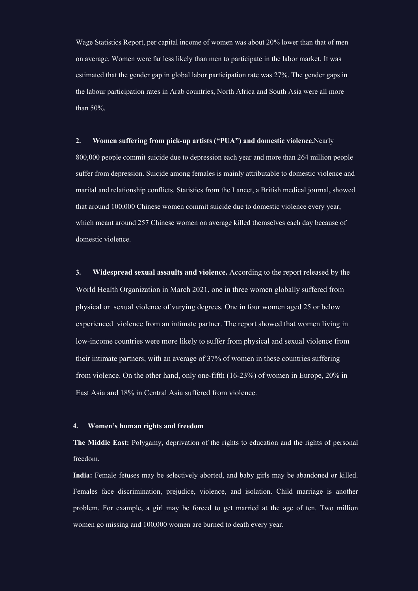Wage Statistics Report, per capital income of women was about 20% lower than that of men on average. Women were far less likely than men to participate in the labor market. It was estimated that the gender gap in global labor participation rate was 27%. The gender gaps in the labour participation rates in Arab countries, North Africa and South Asia were all more than 50%.

#### **2. Women suffering from pick-up artists ("PUA") and domestic violence.**Nearly

800,000 people commit suicide due to depression each year and more than 264 million people suffer from depression. Suicide among females is mainly attributable to domestic violence and marital and relationship conflicts. Statistics from the Lancet, a British medical journal, showed that around 100,000 Chinese women commit suicide due to domestic violence every year, which meant around 257 Chinese women on average killed themselves each day because of domestic violence.

**3. Widespread sexual assaults and violence.** According to the report released by the World Health Organization in March 2021, one in three women globally suffered from physical or sexual violence of varying degrees. One in four women aged 25 or below experienced violence from an intimate partner. The report showed that women living in low-income countries were more likely to suffer from physical and sexual violence from their intimate partners, with an average of 37% of women in these countries suffering from violence. Onthe other hand, only one-fifth (16-23%) of women in Europe, 20% in East Asia and 18% in Central Asia suffered from violence.

#### **4. Women's human rights and freedom**

**The Middle East:** Polygamy, deprivation of the rights to education and the rights of personal freedom.

India: Female fetuses may be selectively aborted, and baby girls may be abandoned or killed. Females face discrimination, prejudice, violence, and isolation. Child marriage is another problem. For example, a girl may be forced to get married at the age of ten. Two million women go missing and 100,000 women are burned to death every year.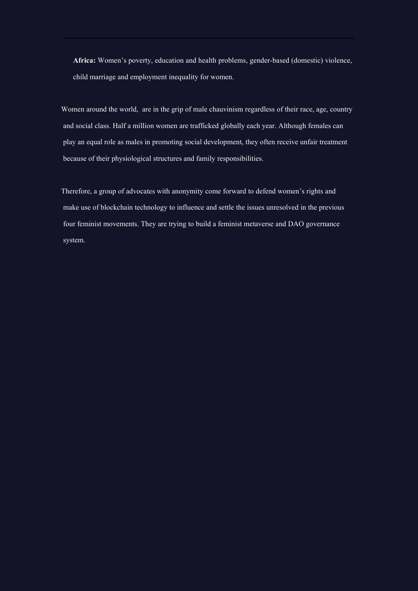**Africa:** Women's poverty, education and health problems, gender-based (domestic) violence, child marriage and employment inequality for women.

Women around the world, are in the grip of male chauvinism regardless of their race, age, country and social class. Half a million women are trafficked globally each year. Although females can play an equal role as males in promoting social development, they often receive unfair treatment because of their physiological structures and family responsibilities.

Therefore, a group of advocates with anonymity come forward to defend women's rights and make use of blockchain technology to influence and settle the issues unresolved in the previous four feminist movements. They are trying to build a feminist metaverse and DAO governance system.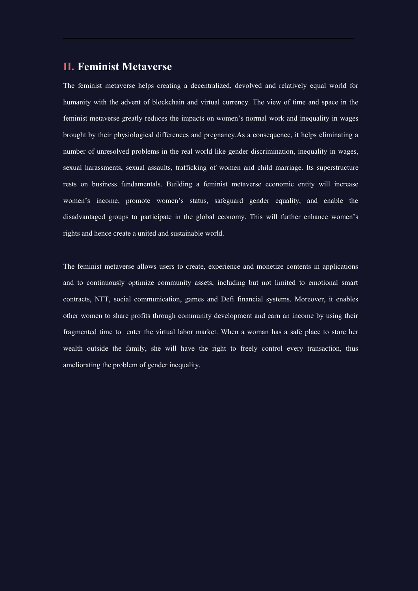## **II. Feminist Metaverse**

The feminist metaverse helps creating a decentralized, devolved and relatively equal world for humanity with the advent of blockchain and virtual currency. The view of time and space in the feminist metaverse greatly reduces the impacts on women's normal work and inequality in wages brought by their physiological differences and pregnancy.As a consequence, it helps eliminating a number of unresolved problems in the real world like gender discrimination, inequality in wages, sexual harassments, sexual assaults, trafficking of women and child marriage. Its superstructure rests on business fundamentals. Building a feminist metaverse economic entity will increase women's income, promote women's status, safeguard gender equality, and enable the disadvantaged groups to participate in the global economy. This will further enhance women's rights and hence create a united and sustainable world.

The feminist metaverse allows users to create, experience and monetize contents in applications and to continuously optimize community assets, including but not limited to emotional smart contracts, NFT, social communication, games and Defi financial systems. Moreover, it enables other women to share profits through community development and earn an income by using their fragmented time to enter the virtual labor market. When a woman has a safe place to store her wealth outside the family, she will have the right to freely control every transaction, thus ameliorating the problem of gender inequality.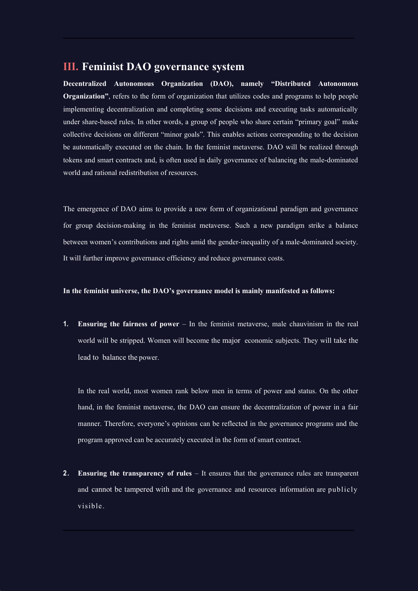## **III. Feminist DAO governance system**

**Decentralized Autonomous Organization (DAO), namely "Distributed Autonomous Organization"**, refers to the form of organization that utilizes codes and programs to help people implementing decentralization and completing some decisions and executing tasks automatically under share-based rules. In other words, a group of people who share certain "primary goal" make collective decisions on different "minor goals". This enables actions corresponding to the decision be automatically executed on the chain. In the feminist metaverse. DAO will be realized through tokens and smart contracts and, is often used in daily governance of balancing the male-dominated world and rational redistribution of resources.

The emergence of DAO aims to provide a new form of organizational paradigm and governance for group decision-making in the feminist metaverse. Such a new paradigm strike a balance between women's contributions and rights amid the gender-inequality of a male-dominated society. It will further improve governance efficiency and reduce governance costs.

#### **In the feminist universe, the DAO's governance model is mainly manifested as follows:**

**1. Ensuring the fairness of power** – In the feminist metaverse, male chauvinism in the real world will be stripped. Women will become the major economic subjects. They will take the lead to balance the power.

In the real world, most women rank below men in terms of power and status. On the other hand, in the feminist metaverse, the DAO can ensure the decentralization of power in a fair manner. Therefore, everyone's opinions can be reflected in the governance programs and the program approved can be accurately executed in the form of smart contract.

**2. Ensuring the transparency of rules** – It ensures that the governance rules are transparent and cannot be tampered with and the governance and resources information are publicly visible .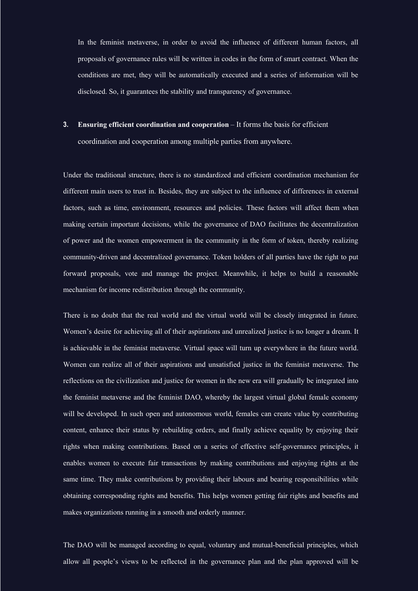In the feminist metaverse, in order to avoid the influence of different human factors, all proposals of governance rules will be written in codes in the form of smart contract. When the conditions are met, they will be automatically executed and a series of information will be disclosed. So, it guarantees the stability and transparency of governance.

**3. Ensuring efficient coordination and cooperation** – It forms the basis for efficient coordination and cooperation among multiple parties from anywhere.

Under the traditional structure, there is no standardized and efficient coordination mechanism for different main users to trust in. Besides, they are subject to the influence of differences in external factors, such as time, environment, resources and policies. These factors will affect them when making certain important decisions, while the governance of DAO facilitates the decentralization of power and the women empowerment in the community in the form of token, thereby realizing community-driven and decentralized governance. Token holders of all parties have the right to put forward proposals, vote and manage the project. Meanwhile, it helps to build a reasonable mechanism for income redistribution through the community.

There is no doubt that the real world and the virtual world will be closely integrated in future. Women's desire for achieving all of their aspirations and unrealized justice is no longer a dream. It is achievable in the feminist metaverse. Virtual space will turn up everywhere in the future world. Women can realize all of their aspirations and unsatisfied justice in the feminist metaverse. The reflections on the civilization and justice for women in the new era will gradually be integrated into the feminist metaverse and the feminist DAO, whereby the largest virtual global female economy will be developed. In such open and autonomous world, females can create value by contributing content, enhance their status by rebuilding orders, and finally achieve equality by enjoying their rights when making contributions. Based on a series of effective self-governance principles, it enables women to execute fair transactions by making contributions and enjoying rights at the same time. They make contributions by providing their labours and bearing responsibilities while obtaining corresponding rights and benefits. This helps women getting fair rights and benefits and makes organizations running in a smooth and orderly manner.

The DAO will be managed according to equal, voluntary and mutual-beneficial principles, which allow all people's views to be reflected in the governance plan and the plan approved will be